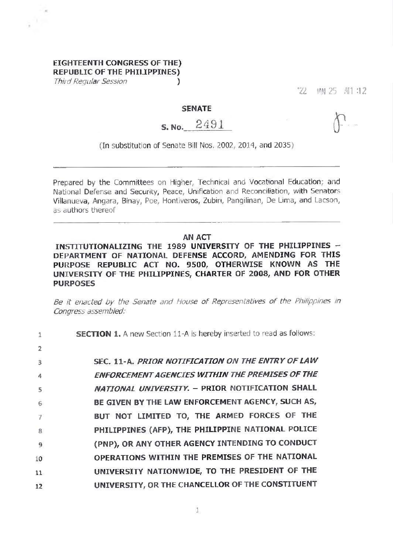## **EIGHTEENTH CONGRESS OF THE) REPUBLIC OF THE PHILIPPINES)**

*Third Regular Session* ()

'22 *m25* All :12

### **SENATE**

# s. No. 2491

(In substitution of Senate Bill Nos. 2002, 2014, and 2035)

Prepared by the Committees on Higher, Technical and Vocational Education; and National Defense and Security, Peace, Unification and Reconciliation, with Senators Villanueva, Angara, Binay, Poe, Hontiveros, Zubiri, Pangilinan, De Lima, and Lacson, as authors thereof

### **AN ACT**

**INSTITUTIONALIZING THE <sup>1989</sup> UNIVERSITY OF THE PHILIPPINES - DEPARTMENT OF NATIONAL DEFENSE ACCORD, AMENDING FOR THIS PURPOSE REPUBLIC ACT NO. 9500, OTHERWISE KNOWN AS THE UNIVERSITY OF THE PHILIPPINES, CHARTER OF 2008, AND FOR OTHER PURPOSES**

*Be it enacted by the Senate and House of Representatives of the Philippines in Congress assembled:*

| $\mathbf{1}$    | <b>SECTION 1.</b> A new Section 11-A is hereby inserted to read as follows: |
|-----------------|-----------------------------------------------------------------------------|
| $\overline{2}$  |                                                                             |
| 3               | SEC. 11-A. PRIOR NOTIFICATION ON THE ENTRY OF LAW                           |
| 4               | <b>ENFORCEMENT AGENCIES WITHIN THE PREMISES OF THE</b>                      |
| -5.             | NATIONAL UNIVERSITY. - PRIOR NOTIFICATION SHALL                             |
| -6              | BE GIVEN BY THE LAW ENFORCEMENT AGENCY, SUCH AS,                            |
|                 | BUT NOT LIMITED TO, THE ARMED FORCES OF THE                                 |
| -8              | PHILIPPINES (AFP), THE PHILIPPINE NATIONAL POLICE                           |
| -9              | (PNP), OR ANY OTHER AGENCY INTENDING TO CONDUCT                             |
| 10              | OPERATIONS WITHIN THE PREMISES OF THE NATIONAL                              |
| $\overline{11}$ | UNIVERSITY NATIONWIDE, TO THE PRESIDENT OF THE                              |
| 12              | UNIVERSITY, OR THE CHANCELLOR OF THE CONSTITUENT                            |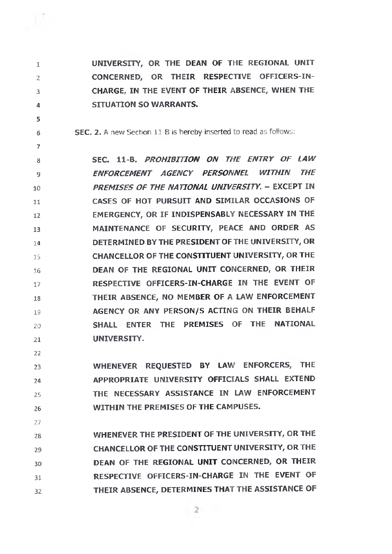

**1**

**2**

**3**

**4**

**5**

**6**

**7**

**UNIVERSITY, OR THE DEAN OF THE REGIONAL UNIT CONCERNED, OR THEIR RESPECTIVE OFFICERS-IN-CHARGE, IN THE EVENT OF THEIR ABSENCE, WHEN THE SITUATION SO WARRANTS.**

**SEC. 2. A new Section 11-B is hereby inserted to read as follows:**

**8 9 10 11 12 13 14 15 16 17 18 19 20 21 SEC. 11-B.** *PROHIBITION ON THE ENTRY OF LAW ENFORCEMENT AGENCY PERSONNEL WITHIN THE PREMISES OF THE NATIONAL UNIVERSITY.* **- EXCEPT IN CASES OF HOT PURSUIT AND SIMILAR OCCASIONS OF EMERGENCY, OR IF INDISPENSABLY NECESSARY IN THE MAINTENANCE OF SECURITY, PEACE AND ORDER AS DETERMINED BY THE PRESIDENT OF THE UNIVERSITY, OR CHANCELLOR OF THE CONSTITUENT UNIVERSITY, OR THE DEAN OF THE REGIONAL UNIT CONCERNED, OR THEIR RESPECTIVE OFFICERS-IN-CHARGE IN THE EVENT OF THEIR ABSENCE, NO MEMBER OF A LAW ENFORCEMENT AGENCY OR ANY PERSON/S ACTING ON THEIR BEHALF SHALL ENTER THE PREMISES OF THE NATIONAL UNIVERSITY.**

**22**

**23 24 25 26 WHENEVER REQUESTED BY LAW ENFORCERS, THE APPROPRIATE UNIVERSITY OFFICIALS SHALL EXTEND THE NECESSARY ASSISTANCE IN LAW ENFORCEMENT WITHIN THE PREMISES OF THE CAMPUSES.**

**27**

**28 29 30 31 32 WHENEVER THE PRESIDENT OF THE UNIVERSITY, OR THE CHANCELLOR OF THE CONSTITUENT UNIVERSITY, OR THE DEAN OF THE REGIONAL UNIT CONCERNED, OR THEIR RESPECTIVE OFFICERS-IN-CHARGE IN THE EVENT OF THEIR ABSENCE, DETERMINES THAT THE ASSISTANCE OF**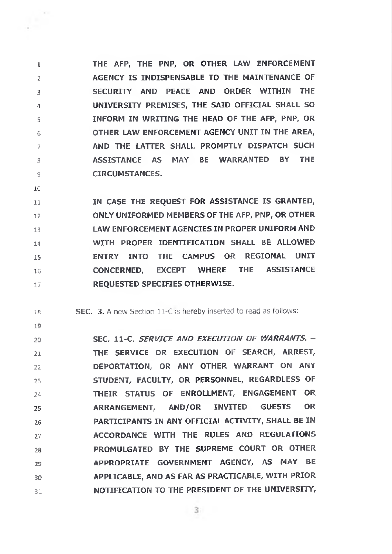**1 2 3 4 5 6 7 8 9 THE AFP, THE PNP, OR OTHER LAW ENFORCEMENT AGENCY IS INDISPENSABLE TO THE MAINTENANCE OF SECURITY AND PEACE AND ORDER WITHIN THE UNIVERSITY PREMISES, THE SAID OFFICIAL SHALL SO INFORM IN WRITING THE HEAD OF THE AFP, PNP, OR OTHER LAW ENFORCEMENT AGENCY UNIT IN THE AREA, AND THE LATTER SHALL PROMPTLY DISPATCH SUCH ASSISTANCE AS MAY BE WARRANTED BY THE CIRCUMSTANCES.**

**10**

**11 12 13 14 15 16 17 IN CASE THE REQUEST FOR ASSISTANCE IS GRANTED, ONLY UNIFORMED MEMBERS OF THE AFP, PNP, OR OTHER LAW ENFORCEMENT AGENCIES IN PROPER UNIFORM AND WITH PROPER IDENTIFICATION SHALL BE ALLOWED ENTRY INTO THE CAMPUS OR REGIONAL UNIT CONCERNED, EXCEPT WHERE THE ASSISTANCE REQUESTED SPECIFIES OTHERWISE.**

**18 SEC. 3. A new Section 11-C is hereby inserted to read as follows:**

**19**

**20 21 22 23 24 25 26 27 28 29 30 31 SEC. 11-C.** *SERVICE AND EXECUTION OF WARRANTS. -* **THE SERVICE OR EXECUTION OF SEARCH, ARREST, DEPORTATION, OR ANY OTHER WARRANT ON ANY STUDENT, FACULTY, OR PERSONNEL, REGARDLESS OF THEIR STATUS OF ENROLLMENT, ENGAGEMENT OR ARRANGEMENT, AND/OR INVITED GUESTS OR PARTICIPANTS IN ANY OFFICIAL ACTIVITY, SHALL BE IN ACCORDANCE WITH THE RULES AND REGULATIONS PROMULGATED BY THE SUPREME COURT OR OTHER APPROPRIATE GOVERNMENT AGENCY, AS MAY BE APPLICABLE, AND AS FAR AS PRACTICABLE, WITH PRIOR NOTIFICATION TO THE PRESIDENT OF THE UNIVERSITY,**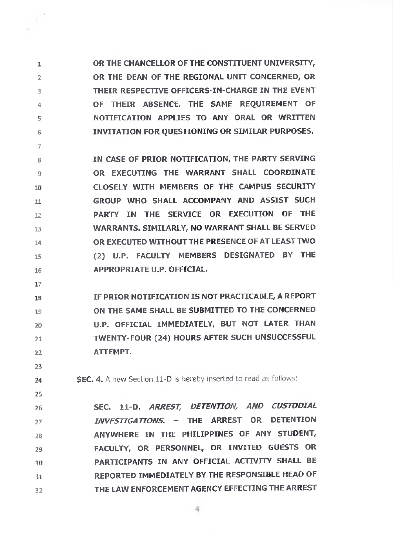**1 2 3 4 5 6 OR THE CHANCELLOR OF THE CONSTITUENT UNIVERSITY, OR THE DEAN OF THE REGIONAL UNIT CONCERNED, OR THEIR RESPECTIVE OFFICERS-IN-CHARGE IN THE EVENT OF THEIR ABSENCE. THE SAME REQUIREMENT OF NOTIFICATION APPLIES TO ANY ORAL OR WRITTEN INVITATION FOR QUESTIONING OR SIMILAR PURPOSES.**

**8 9 10 11 12 13 14 15 16 IN CASE OF PRIOR NOTIFICATION, THE PARTY SERVING OR EXECUTING THE WARRANT SHALL COORDINATE CLOSELY WITH MEMBERS OF THE CAMPUS SECURITY GROUP WHO SHALL ACCOMPANY AND ASSIST SUCH PARTY IN THE SERVICE OR EXECUTION OF THE WARRANTS. SIMILARLY, NO WARRANT SHALL BE SERVED OR EXECUTED WITHOUTTHE PRESENCE OF AT LEAST TWO (2) U.P. FACULTY MEMBERS DESIGNATED BY THE APPROPRIATE U.P. OFFICIAL.**

**17**

**23**

**24**

**25**

**7**

**18 19 20 21 22 IF PRIOR NOTIFICATION IS NOT PRACTICABLE, A REPORT ON THE SAME SHALL BE SUBMITTED TO THE CONCERNED U.P. OFFICIAL IMMEDIATELY, BUT NOT LATER THAN TWENTY-FOUR (24) HOURS AFTER SUCH UNSUCCESSFUL ATTEMPT.**

**SEC. 4. A new Section 11-D is hereby inserted to read as follows:**

**26 27 28 29 30 31 32 SEC. 11-D.** *ARREST, DETENTION, AND CUSTODIAL INVESTIGATIONS. -* **THE ARREST OR DETENTION ANYWHERE IN THE PHILIPPINES OF ANY STUDENT, FACULTY, OR PERSONNEL, OR INVITED GUESTS OR PARTICIPANTS IN ANY OFFICIAL ACTIVITY SHALL BE REPORTED IMMEDIATELY BY THE RESPONSIBLE HEAD OF THE LAW ENFORCEMENT AGENCY EFFECTING THE ARREST**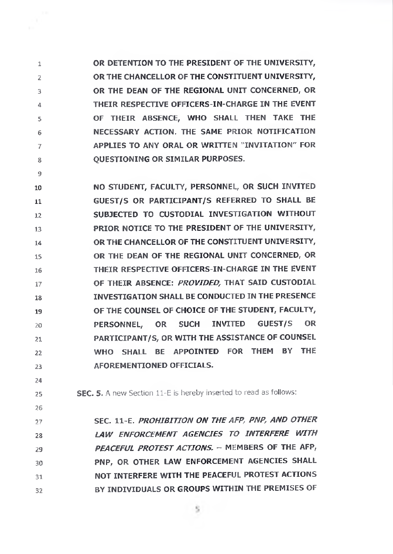**1 2 3 4 5 6 7 8 OR DETENTION TO THE PRESIDENT OF THE UNIVERSITY, OR THE CHANCELLOR OF THE CONSTITUENT UNIVERSITY, OR THE DEAN OF THE REGIONAL UNIT CONCERNED, OR THEIR RESPECTIVE OFFICERS-IN-CHARGE IN THE EVENT OF THEIR ABSENCE, WHO SHALL THEN TAKE THE NECESSARY ACTION. THE SAME PRIOR NOTIFICATION APPLIES TO ANY ORAL OR WRITTEN "INVITATION" FOR QUESTIONING OR SIMILAR PURPOSES.**

**10 11 12 13 14 15 16 17 18 19 20 21 22 23 NO STUDENT, FACULTY, PERSONNEL, OR SUCH INVITED GUEST/S OR PARTICIPANT/S REFERRED TO SHALL BE SUBJECTED TO CUSTODIAL INVESTIGATION WITHOUT PRIOR NOTICE TO THE PRESIDENT OF THE UNIVERSITY, OR THE CHANCELLOR OF THE CONSTITUENT UNIVERSITY, OR THE DEAN OF THE REGIONAL UNIT CONCERNED, OR THEIR RESPECTIVE OFFICERS-IN-CHARGE IN THE EVENT OF THEIR ABSENCE:** *PROVIDED,* **THAT SAID CUSTODIAL INVESTIGATION SHALL BE CONDUCTED IN THE PRESENCE OF THE COUNSEL OF CHOICE OF THE STUDENT, FACULTY, PERSONNEL, OR SUCH INVITED GUEST/S OR PARTICIPANT/S, OR WITH THE ASSISTANCE OF COUNSEL WHO SHALL BE APPOINTED FOR THEM BY THE AFOREMENTIONED OFFICIALS.**

**24 25**

**26**

**9**

**SEC. 5. A new Section 11-E is hereby inserted to read as follows:**

**27 28 29 30 31 32 SEC. 11-E.** *PROHIBITION ON THE AFP, PNPf AND OTHER LAW ENFORCEMENT AGENCIES TO INTERFERE WITH PEACEFUL PROTEST ACTIONS.* **- MEMBERS OF THE AFP, PNP, OR OTHER LAW ENFORCEMENT AGENCIES SHALL NOT INTERFERE WITH THE PEACEFUL PROTEST ACTIONS BY INDIVIDUALS OR GROUPS WITHIN THE PREMISES OF**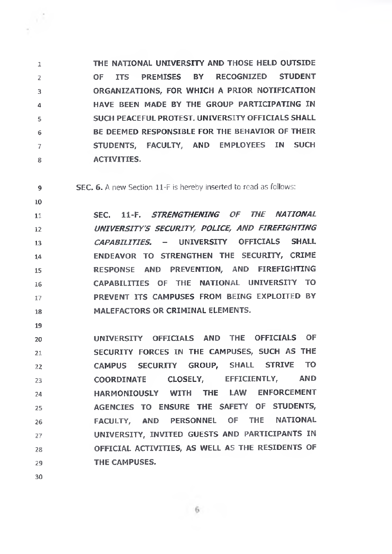**1 2 3 4 5 6 7 8 THE NATIONAL UNIVERSITY AND THOSE HELD OUTSIDE OF ITS PREMISES BY RECOGNIZED STUDENT ORGANIZATIONS, FOR WHICH A PRIOR NOTIFICATION HAVE BEEN MADE BY THE GROUP PARTICIPATING IN SUCH PEACEFUL PROTEST. UNIVERSITY OFFICIALS SHALL BE DEEMED RESPONSIBLE FOR THE BEHAVIOR OF THEIR STUDENTS, FACULTY, AND EMPLOYEES IN SUCH ACTIVITIES.**

**9 SEC. 6. A new Section 11-F is hereby inserted to read as follows:**

**11 12 13 14 15 16 17 18 SEC. 11-F.** *STRENGTHENING OF THE NATIONAL UNIVERSITY'S SECURITY, POLICE, AND FIREFIGHTING CAPABILITIES. -* **UNIVERSITY OFFICIALS SHALL ENDEAVOR TO STRENGTHEN THE SECURITY, CRIME RESPONSE AND PREVENTION, AND FIREFIGHTING CAPABILITIES OF THE NATIONAL UNIVERSITY TO PREVENT ITS CAMPUSES FROM BEING EXPLOITED BY MALEFACTORS OR CRIMINAL ELEMENTS.**

**20 21 22 23 24 25 26 27 28 29 UNIVERSITY OFFICIALS AND THE OFFICIALS OF SECURITY FORCES IN THE CAMPUSES, SUCH AS THE CAMPUS SECURITY GROUP, SHALL STRIVE TO COORDINATE CLOSELY, EFFICIENTLY, AND HARMONIOUSLY WITH THE LAW ENFORCEMENT AGENCIES TO ENSURE THE SAFETY OF STUDENTS, FACULTY, AND PERSONNEL OF THE NATIONAL UNIVERSITY, INVITED GUESTS AND PARTICIPANTS IN OFFICIAL ACTIVITIES, AS WELL AS THE RESIDENTS OF THE CAMPUSES.**

**30**

**10**

**19**

6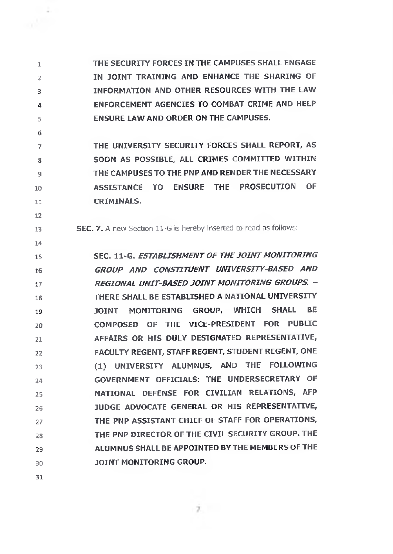**1 2 3 4 5 THE SECURITY FORCES IN THE CAMPUSES SHALL ENGAGE IN JOINT TRAINING AND ENHANCE THE SHARING OF INFORMATION AND OTHER RESOURCES WITH THE LAW ENFORCEMENT AGENCIES TO COMBAT CRIME AND HELP ENSURE LAW AND ORDER ON THE CAMPUSES.**

**7 8 9 10 11 THE UNIVERSITY SECURITY FORCES SHALL REPORT, AS SOON AS POSSIBLE, ALL CRIMES COMMITTED WITHIN THE CAMPUSES TO THE PNP AND RENDER THE NECESSARY ASSISTANCE TO ENSURE THE PROSECUTION OF CRIMINALS.**

**SEC. 7. A new Section 11-G is hereby inserted to read as follows:**

**15 16 17 IS 19 20 21 22 23 24 25 26 27 28 29 30 SEC. 11-G.** *ESTABLISHMENT OF THEJOINT MONITORING GROUP AND CONSTITUENT UNIVERSITY-BASED AND REGIONAL UNIT-BASED JOINT MONITORING GROUPS.* **- THERE SHALL BE ESTABLISHED A NATIONAL UNIVERSITY JOINT MONITORING GROUP, WHICH SHALL BE COMPOSED OF THE VICE-PRESIDENT FOR PUBLIC AFFAIRS OR HIS DULY DESIGNATED REPRESENTATIVE, FACULTY REGENT, STAFF REGENT, STUDENT REGENT, ONE (1) UNIVERSITY ALUMNUS, AND THE FOLLOWING GOVERNMENT OFFICIALS: THE UNDERSECRETARY OF NATIONAL DEFENSE FOR CIVILIAN RELATIONS, AFP JUDGE ADVOCATE GENERAL OR HIS REPRESENTATIVE, THE PNP ASSISTANT CHIEF OF STAFF FOR OPERATIONS, THE PNP DIRECTOR OF THE CIVIL SECURITY GROUP. THE ALUMNUS SHALL BE APPOINTED BYTHE MEMBERS OFTHE JOINT MONITORING GROUP.**

 $7.7$ 

**31**

**6**

**12**

**13**

**14**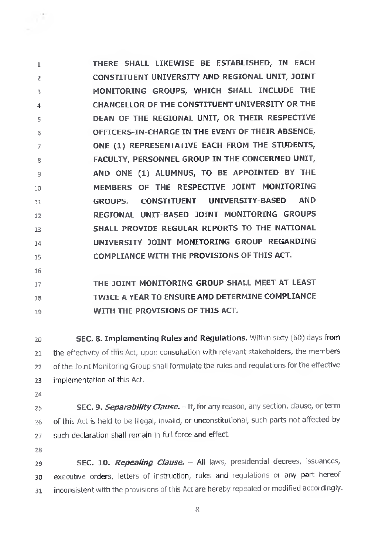**1 2 3 4 5 6 7** 8 9 **10 11 12 13 14 15 THERE SHALL LIKEWISE BE ESTABLISHED, IN EACH CONSTITUENT UNIVERSITY AND REGIONAL UNIT, JOINT MONITORING GROUPS, WHICH SHALL INCLUDE THE CHANCELLOR OF THE CONSTITUENT UNIVERSITY OR THE DEAN OF THE REGIONAL UNIT, OR THEIR RESPECTIVE OFFICERS-IN-CHARGE IN THE EVENT OF THEIR ABSENCE, ONE (1) REPRESENTATIVE EACH FROM THE STUDENTS, FACULTY, PERSONNEL GROUP IN THE CONCERNED UNIT, AND ONE (1) ALUMNUS, TO BE APPOINTED BY THE MEMBERS OF THE RESPECTIVE JOINT MONITORING GROUPS. CONSTITUENT UNIVERSITY-BASED AND REGIONAL UNIT-BASED JOINT MONITORING GROUPS SHALL PROVIDE REGULAR REPORTS TO THE NATIONAL UNIVERSITY JOINT MONITORING GROUP REGARDING COMPLIANCE WITH THE PROVISIONS OF THIS ACT.**

**16**

#### **17 18 19 THE JOINT MONITORING GROUP SHALL MEET AT LEAST TWICE A YEAR TO ENSURE AND DETERMINE COMPLIANCE WITH THE PROVISIONS OF THIS ACT.**

**20 21 22 23 SEC. 8. Implementing Rules and Regulations.** Wittiin sixty (60) days from the effectivity of this Act, upon consultation with relevant stakeholders, the members of the Joint Monitoring Group shall formulate the rules and regulations for the effective implementation of this Act.

24

25 **26 27 SEC.** 9. *Separability Clause.-*If, for any reason, any section, clause, or term of this Act is held to be illegal, invalid, or unconstitutional, such parts not affected by such declaration shall remain in full force and effect.

**28**

**29 30 31 SEC. 10.** *Repealing Clause. -* All laws, presidential decrees, issuances, executive orders, letters of instruction, rules and regulations or any part hereof inconsistent with the provisions of this Act are hereby repealed or modified accordingly.